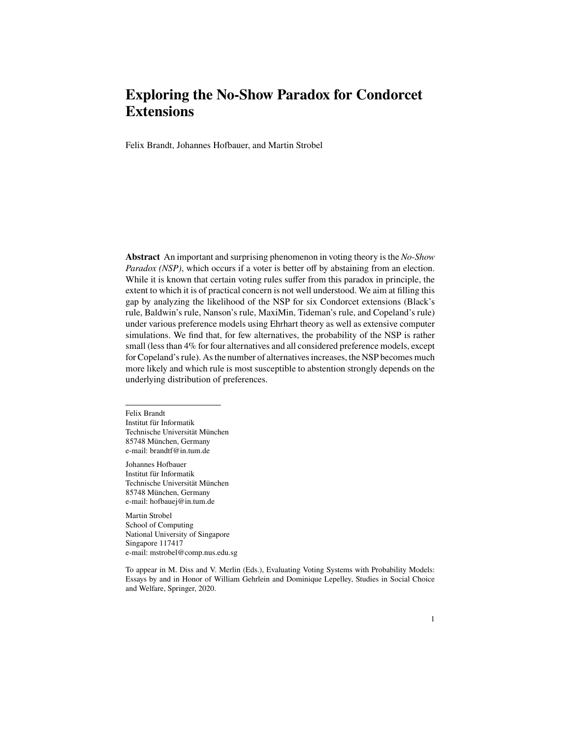# **Exploring the No-Show Paradox for Condorcet Extensions**

Felix Brandt, Johannes Hofbauer, and Martin Strobel

**Abstract** An important and surprising phenomenon in voting theory is the *No-Show Paradox (NSP)*, which occurs if a voter is better off by abstaining from an election. While it is known that certain voting rules suffer from this paradox in principle, the extent to which it is of practical concern is not well understood. We aim at filling this gap by analyzing the likelihood of the NSP for six Condorcet extensions (Black's rule, Baldwin's rule, Nanson's rule, MaxiMin, Tideman's rule, and Copeland's rule) under various preference models using Ehrhart theory as well as extensive computer simulations. We find that, for few alternatives, the probability of the NSP is rather small (less than 4% for four alternatives and all considered preference models, except for Copeland's rule). As the number of alternatives increases, the NSP becomes much more likely and which rule is most susceptible to abstention strongly depends on the underlying distribution of preferences.

Felix Brandt Institut für Informatik Technische Universität München 85748 München, Germany e-mail: brandtf@in.tum.de

Johannes Hofbauer Institut für Informatik Technische Universität München 85748 München, Germany e-mail: hofbauej@in.tum.de

Martin Strobel School of Computing National University of Singapore Singapore 117417 e-mail: mstrobel@comp.nus.edu.sg

To appear in M. Diss and V. Merlin (Eds.), Evaluating Voting Systems with Probability Models: Essays by and in Honor of William Gehrlein and Dominique Lepelley, Studies in Social Choice and Welfare, Springer, 2020.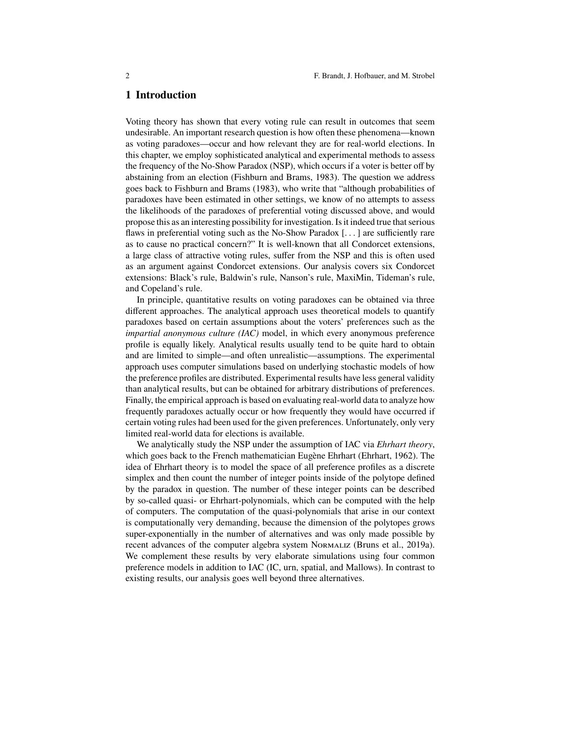# **1 Introduction**

Voting theory has shown that every voting rule can result in outcomes that seem undesirable. An important research question is how often these phenomena—known as voting paradoxes—occur and how relevant they are for real-world elections. In this chapter, we employ sophisticated analytical and experimental methods to assess the frequency of the No-Show Paradox (NSP), which occurs if a voter is better off by abstaining from an election (Fishburn and Brams, 1983). The question we address goes back to Fishburn and Brams (1983), who write that "although probabilities of paradoxes have been estimated in other settings, we know of no attempts to assess the likelihoods of the paradoxes of preferential voting discussed above, and would propose this as an interesting possibility for investigation. Is it indeed true that serious flaws in preferential voting such as the No-Show Paradox [...] are sufficiently rare as to cause no practical concern?" It is well-known that all Condorcet extensions, a large class of attractive voting rules, suffer from the NSP and this is often used as an argument against Condorcet extensions. Our analysis covers six Condorcet extensions: Black's rule, Baldwin's rule, Nanson's rule, MaxiMin, Tideman's rule, and Copeland's rule.

In principle, quantitative results on voting paradoxes can be obtained via three different approaches. The analytical approach uses theoretical models to quantify paradoxes based on certain assumptions about the voters' preferences such as the *impartial anonymous culture (IAC)* model, in which every anonymous preference profile is equally likely. Analytical results usually tend to be quite hard to obtain and are limited to simple—and often unrealistic—assumptions. The experimental approach uses computer simulations based on underlying stochastic models of how the preference profiles are distributed. Experimental results have less general validity than analytical results, but can be obtained for arbitrary distributions of preferences. Finally, the empirical approach is based on evaluating real-world data to analyze how frequently paradoxes actually occur or how frequently they would have occurred if certain voting rules had been used for the given preferences. Unfortunately, only very limited real-world data for elections is available.

We analytically study the NSP under the assumption of IAC via *Ehrhart theory*, which goes back to the French mathematician Eugène Ehrhart (Ehrhart, 1962). The idea of Ehrhart theory is to model the space of all preference profiles as a discrete simplex and then count the number of integer points inside of the polytope defined by the paradox in question. The number of these integer points can be described by so-called quasi- or Ehrhart-polynomials, which can be computed with the help of computers. The computation of the quasi-polynomials that arise in our context is computationally very demanding, because the dimension of the polytopes grows super-exponentially in the number of alternatives and was only made possible by recent advances of the computer algebra system Normaliz (Bruns et al., 2019a). We complement these results by very elaborate simulations using four common preference models in addition to IAC (IC, urn, spatial, and Mallows). In contrast to existing results, our analysis goes well beyond three alternatives.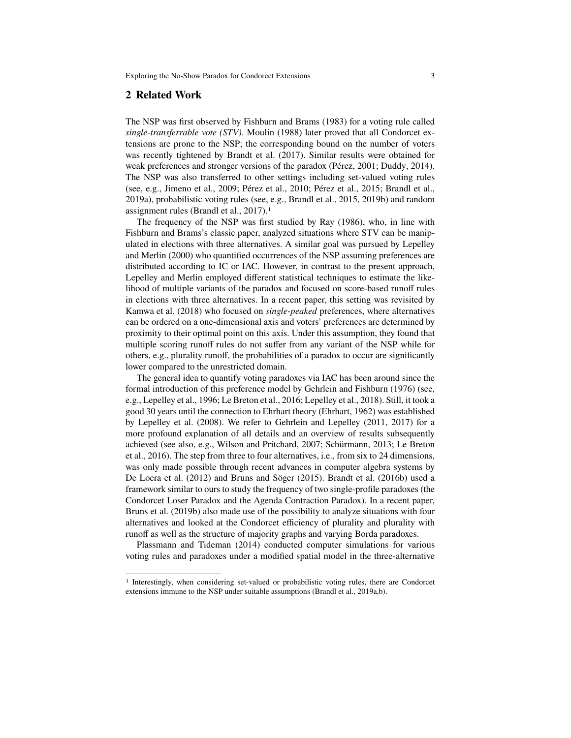## **2 Related Work**

The NSP was first observed by Fishburn and Brams (1983) for a voting rule called *single-transferrable vote (STV)*. Moulin (1988) later proved that all Condorcet extensions are prone to the NSP; the corresponding bound on the number of voters was recently tightened by Brandt et al. (2017). Similar results were obtained for weak preferences and stronger versions of the paradox (Pérez, 2001; Duddy, 2014). The NSP was also transferred to other settings including set-valued voting rules (see, e.g., Jimeno et al., 2009; Pérez et al., 2010; Pérez et al., 2015; Brandl et al., 2019a), probabilistic voting rules (see, e.g., Brandl et al., 2015, 2019b) and random assignment rules (Brandl et al., 2017).1

The frequency of the NSP was first studied by Ray (1986), who, in line with Fishburn and Brams's classic paper, analyzed situations where STV can be manipulated in elections with three alternatives. A similar goal was pursued by Lepelley and Merlin (2000) who quantified occurrences of the NSP assuming preferences are distributed according to IC or IAC. However, in contrast to the present approach, Lepelley and Merlin employed different statistical techniques to estimate the likelihood of multiple variants of the paradox and focused on score-based runoff rules in elections with three alternatives. In a recent paper, this setting was revisited by Kamwa et al. (2018) who focused on *single-peaked* preferences, where alternatives can be ordered on a one-dimensional axis and voters' preferences are determined by proximity to their optimal point on this axis. Under this assumption, they found that multiple scoring runoff rules do not suffer from any variant of the NSP while for others, e.g., plurality runoff, the probabilities of a paradox to occur are significantly lower compared to the unrestricted domain.

The general idea to quantify voting paradoxes via IAC has been around since the formal introduction of this preference model by Gehrlein and Fishburn (1976) (see, e.g., Lepelley et al., 1996; Le Breton et al., 2016; Lepelley et al., 2018). Still, it took a good 30 years until the connection to Ehrhart theory (Ehrhart, 1962) was established by Lepelley et al. (2008). We refer to Gehrlein and Lepelley (2011, 2017) for a more profound explanation of all details and an overview of results subsequently achieved (see also, e.g., Wilson and Pritchard, 2007; Schürmann, 2013; Le Breton et al., 2016). The step from three to four alternatives, i.e., from six to 24 dimensions, was only made possible through recent advances in computer algebra systems by De Loera et al. (2012) and Bruns and Söger (2015). Brandt et al. (2016b) used a framework similar to ours to study the frequency of two single-profile paradoxes (the Condorcet Loser Paradox and the Agenda Contraction Paradox). In a recent paper, Bruns et al. (2019b) also made use of the possibility to analyze situations with four alternatives and looked at the Condorcet efficiency of plurality and plurality with runoff as well as the structure of majority graphs and varying Borda paradoxes.

Plassmann and Tideman (2014) conducted computer simulations for various voting rules and paradoxes under a modified spatial model in the three-alternative

<sup>1</sup> Interestingly, when considering set-valued or probabilistic voting rules, there are Condorcet extensions immune to the NSP under suitable assumptions (Brandl et al., 2019a,b).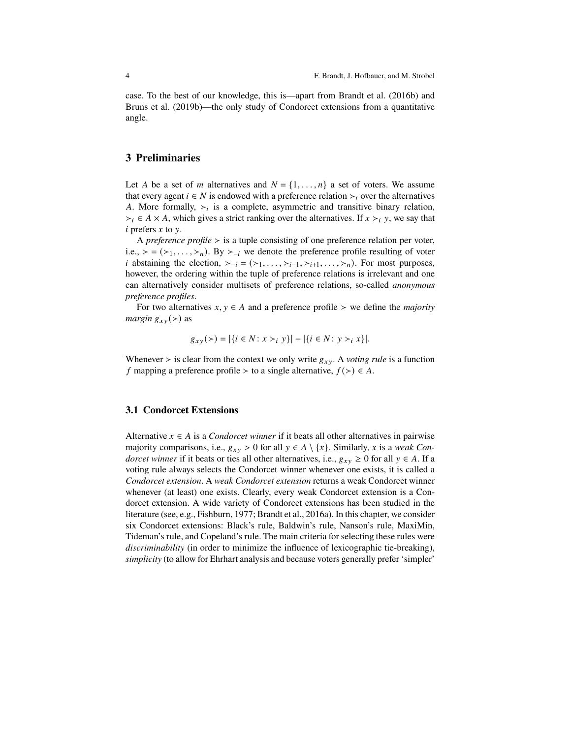case. To the best of our knowledge, this is—apart from Brandt et al. (2016b) and Bruns et al. (2019b)—the only study of Condorcet extensions from a quantitative angle.

## **3 Preliminaries**

Let A be a set of m alternatives and  $N = \{1, \ldots, n\}$  a set of voters. We assume that every agent  $i \in N$  is endowed with a preference relation  $\succ_i$  over the alternatives A. More formally,  $\succ_i$  is a complete, asymmetric and transitive binary relation,  $\epsilon_i \in A \times A$ , which gives a strict ranking over the alternatives. If  $x \succ_i y$ , we say that  $i$  prefers  $x$  to  $y$ .

A *preference profile*  $>$  is a tuple consisting of one preference relation per voter, i.e.,  $> = (\succ_1, \ldots, \succ_n)$ . By  $\succ_{-i}$  we denote the preference profile resulting of voter *i* abstaining the election,  $\succ_{-i} = (\succ_1, \ldots, \succ_{i-1}, \succ_{i+1}, \ldots, \succ_n)$ . For most purposes, however, the ordering within the tuple of preference relations is irrelevant and one can alternatively consider multisets of preference relations, so-called *anonymous preference profiles*.

For two alternatives  $x, y \in A$  and a preference profile  $\gt$  we define the *majority margin*  $g_{xy}(>)$  as

$$
g_{xy}(\succ)=|\{i\in N\colon x\succ_i y\}|-|\{i\in N\colon y\succ_i x\}|.
$$

Whenever  $>$  is clear from the context we only write  $g_{xy}$ . A *voting rule* is a function f mapping a preference profile > to a single alternative,  $f(\geq) \in A$ .

## **3.1 Condorcet Extensions**

Alternative  $x \in A$  is a *Condorcet winner* if it beats all other alternatives in pairwise majority comparisons, i.e.,  $g_{xy} > 0$  for all  $y \in A \setminus \{x\}$ . Similarly, x is a *weak Condorcet winner* if it beats or ties all other alternatives, i.e.,  $g_{xy} \ge 0$  for all  $y \in A$ . If a voting rule always selects the Condorcet winner whenever one exists, it is called a *Condorcet extension*. A *weak Condorcet extension* returns a weak Condorcet winner whenever (at least) one exists. Clearly, every weak Condorcet extension is a Condorcet extension. A wide variety of Condorcet extensions has been studied in the literature (see, e.g., Fishburn, 1977; Brandt et al., 2016a). In this chapter, we consider six Condorcet extensions: Black's rule, Baldwin's rule, Nanson's rule, MaxiMin, Tideman's rule, and Copeland's rule. The main criteria for selecting these rules were *discriminability* (in order to minimize the influence of lexicographic tie-breaking), *simplicity* (to allow for Ehrhart analysis and because voters generally prefer 'simpler'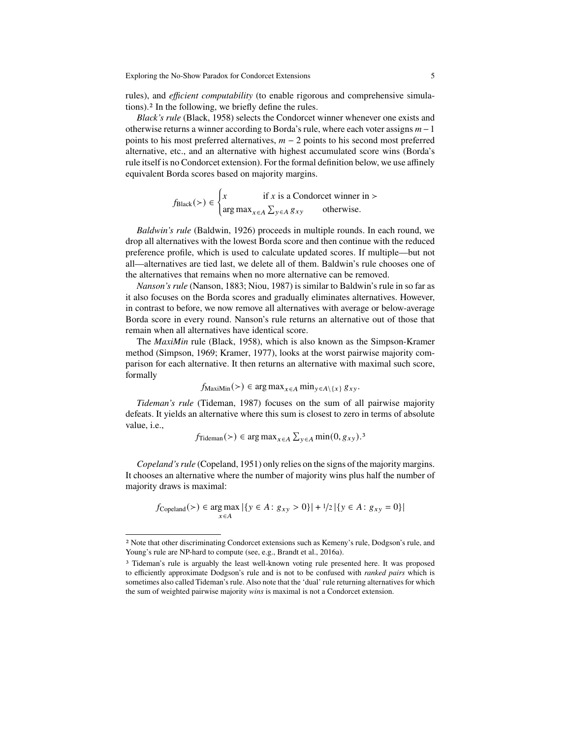rules), and *efficient computability* (to enable rigorous and comprehensive simulations).2 In the following, we briefly define the rules.

*Black's rule* (Black, 1958) selects the Condorcet winner whenever one exists and otherwise returns a winner according to Borda's rule, where each voter assigns  $m-1$ points to his most preferred alternatives,  $m - 2$  points to his second most preferred alternative, etc., and an alternative with highest accumulated score wins (Borda's rule itself is no Condorcet extension). For the formal definition below, we use affinely equivalent Borda scores based on majority margins.

$$
f_{\text{Black}}(>) \in \begin{cases} x & \text{if } x \text{ is a Condorcet winner in} > \\ \arg \max_{x \in A} \sum_{y \in A} g_{xy} & \text{otherwise.} \end{cases}
$$

*Baldwin's rule* (Baldwin, 1926) proceeds in multiple rounds. In each round, we drop all alternatives with the lowest Borda score and then continue with the reduced preference profile, which is used to calculate updated scores. If multiple—but not all—alternatives are tied last, we delete all of them. Baldwin's rule chooses one of the alternatives that remains when no more alternative can be removed.

*Nanson's rule* (Nanson, 1883; Niou, 1987) is similar to Baldwin's rule in so far as it also focuses on the Borda scores and gradually eliminates alternatives. However, in contrast to before, we now remove all alternatives with average or below-average Borda score in every round. Nanson's rule returns an alternative out of those that remain when all alternatives have identical score.

The *MaxiMin* rule (Black, 1958), which is also known as the Simpson-Kramer method (Simpson, 1969; Kramer, 1977), looks at the worst pairwise majority comparison for each alternative. It then returns an alternative with maximal such score, formally

$$
f_{\text{MaxiMin}}(\gt) \in \arg \max_{x \in A} \min_{y \in A \setminus \{x\}} g_{xy}.
$$

*Tideman's rule* (Tideman, 1987) focuses on the sum of all pairwise majority defeats. It yields an alternative where this sum is closest to zero in terms of absolute value, i.e.,

$$
f_{\text{Tideman}}(\gt) \in \arg \max_{x \in A} \sum_{y \in A} \min(0, g_{xy}).^3
$$

*Copeland's rule* (Copeland, 1951) only relies on the signs of the majority margins. It chooses an alternative where the number of majority wins plus half the number of majority draws is maximal:

$$
f_{\text{Copeland}}(>) \in \underset{x \in A}{\text{arg max}} |\{ y \in A : g_{xy} > 0 \}| + 1/2 |\{ y \in A : g_{xy} = 0 \}|
$$

<sup>2</sup> Note that other discriminating Condorcet extensions such as Kemeny's rule, Dodgson's rule, and Young's rule are NP-hard to compute (see, e.g., Brandt et al., 2016a).

<sup>3</sup> Tideman's rule is arguably the least well-known voting rule presented here. It was proposed to efficiently approximate Dodgson's rule and is not to be confused with *ranked pairs* which is sometimes also called Tideman's rule. Also note that the 'dual' rule returning alternatives for which the sum of weighted pairwise majority *wins* is maximal is not a Condorcet extension.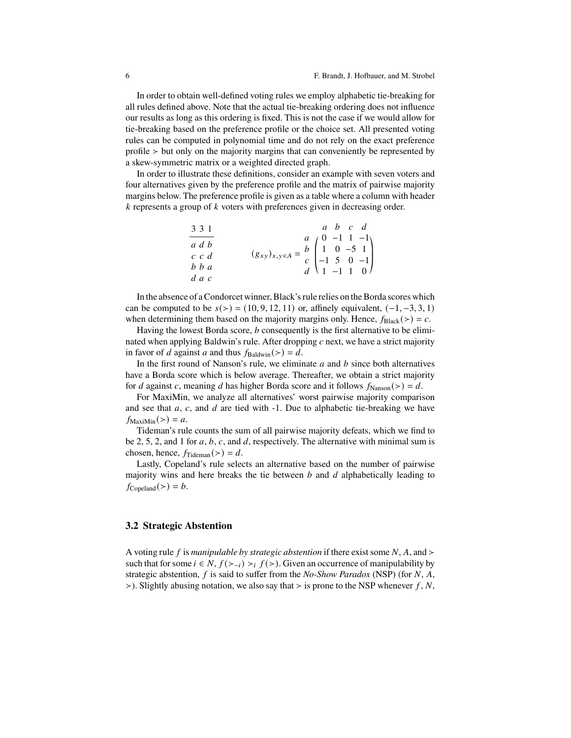In order to obtain well-defined voting rules we employ alphabetic tie-breaking for all rules defined above. Note that the actual tie-breaking ordering does not influence our results as long as this ordering is fixed. This is not the case if we would allow for tie-breaking based on the preference profile or the choice set. All presented voting rules can be computed in polynomial time and do not rely on the exact preference profile  $\triangleright$  but only on the majority margins that can conveniently be represented by a skew-symmetric matrix or a weighted directed graph.

In order to illustrate these definitions, consider an example with seven voters and four alternatives given by the preference profile and the matrix of pairwise majority margins below. The preference profile is given as a table where a column with header  $k$  represents a group of  $k$  voters with preferences given in decreasing order.

| 3 3 1                | $a \quad b \quad c \quad d$                                                                                                    |
|----------------------|--------------------------------------------------------------------------------------------------------------------------------|
| a d b                | $(g_{xy})_{x,y\in A}=\begin{matrix}a\\b\\c\\d\end{matrix}\begin{pmatrix}0&-1&1&-1\\1&0&-5&1\\-1&5&0&-1\\1&-1&1&0\end{pmatrix}$ |
| $c\ c\ d$            |                                                                                                                                |
| $b\;b\;a$<br>$d$ a c |                                                                                                                                |

In the absence of a Condorcet winner, Black's rule relies on the Borda scores which can be computed to be  $s(>) = (10, 9, 12, 11)$  or, affinely equivalent,  $(-1, -3, 3, 1)$ when determining them based on the majority margins only. Hence,  $f_{Black}(\ge) = c$ .

Having the lowest Borda score,  $b$  consequently is the first alternative to be eliminated when applying Baldwin's rule. After dropping  $c$  next, we have a strict majority in favor of d against a and thus  $f_{\text{Baldwin}}(>) = d$ .

In the first round of Nanson's rule, we eliminate  $a$  and  $b$  since both alternatives have a Borda score which is below average. Thereafter, we obtain a strict majority for *d* against *c*, meaning *d* has higher Borda score and it follows  $f_{\text{Nanson}}(>) = d$ .

For MaxiMin, we analyze all alternatives' worst pairwise majority comparison and see that  $a, c$ , and  $d$  are tied with  $-1$ . Due to alphabetic tie-breaking we have  $f_{\text{MaxiMin}}(>) = a$ .

Tideman's rule counts the sum of all pairwise majority defeats, which we find to be 2, 5, 2, and 1 for a, b, c, and d, respectively. The alternative with minimal sum is chosen, hence,  $f_{\text{Tideman}}(>) = d$ .

Lastly, Copeland's rule selects an alternative based on the number of pairwise majority wins and here breaks the tie between  $b$  and  $d$  alphabetically leading to  $f_{\text{Copeland}}(>) = b.$ 

#### **3.2 Strategic Abstention**

A voting rule f is *manipulable by strategic abstention* if there exist some  $N$ ,  $A$ , and  $\geq$ such that for some  $i \in N$ ,  $f(\succ_{i}) \succ_{i} f(\succ)$ . Given an occurrence of manipulability by strategic abstention,  $f$  is said to suffer from the *No-Show Paradox* (NSP) (for  $N$ ,  $A$ ,  $>$ ). Slightly abusing notation, we also say that  $>$  is prone to the NSP whenever f, N,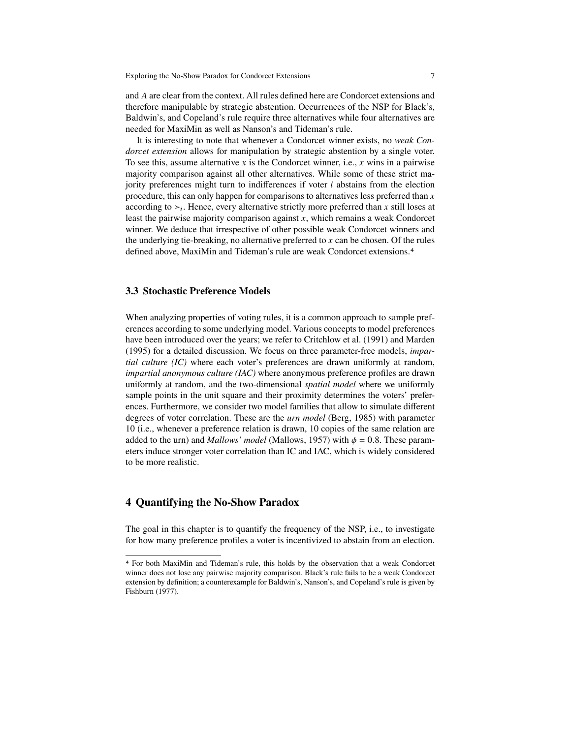and A are clear from the context. All rules defined here are Condorcet extensions and therefore manipulable by strategic abstention. Occurrences of the NSP for Black's, Baldwin's, and Copeland's rule require three alternatives while four alternatives are needed for MaxiMin as well as Nanson's and Tideman's rule.

It is interesting to note that whenever a Condorcet winner exists, no *weak Condorcet extension* allows for manipulation by strategic abstention by a single voter. To see this, assume alternative x is the Condorcet winner, i.e., x wins in a pairwise majority comparison against all other alternatives. While some of these strict majority preferences might turn to indifferences if voter  $i$  abstains from the election procedure, this can only happen for comparisons to alternatives less preferred than  $x$ according to  $\geq_i$ . Hence, every alternative strictly more preferred than x still loses at least the pairwise majority comparison against  $x$ , which remains a weak Condorcet winner. We deduce that irrespective of other possible weak Condorcet winners and the underlying tie-breaking, no alternative preferred to  $x$  can be chosen. Of the rules defined above, MaxiMin and Tideman's rule are weak Condorcet extensions.4

## **3.3 Stochastic Preference Models**

When analyzing properties of voting rules, it is a common approach to sample preferences according to some underlying model. Various concepts to model preferences have been introduced over the years; we refer to Critchlow et al. (1991) and Marden (1995) for a detailed discussion. We focus on three parameter-free models, *impartial culture (IC)* where each voter's preferences are drawn uniformly at random, *impartial anonymous culture (IAC)* where anonymous preference profiles are drawn uniformly at random, and the two-dimensional *spatial model* where we uniformly sample points in the unit square and their proximity determines the voters' preferences. Furthermore, we consider two model families that allow to simulate different degrees of voter correlation. These are the *urn model* (Berg, 1985) with parameter 10 (i.e., whenever a preference relation is drawn, 10 copies of the same relation are added to the urn) and *Mallows' model* (Mallows, 1957) with  $\phi = 0.8$ . These parameters induce stronger voter correlation than IC and IAC, which is widely considered to be more realistic.

# **4 Quantifying the No-Show Paradox**

The goal in this chapter is to quantify the frequency of the NSP, i.e., to investigate for how many preference profiles a voter is incentivized to abstain from an election.

<sup>4</sup> For both MaxiMin and Tideman's rule, this holds by the observation that a weak Condorcet winner does not lose any pairwise majority comparison. Black's rule fails to be a weak Condorcet extension by definition; a counterexample for Baldwin's, Nanson's, and Copeland's rule is given by Fishburn (1977).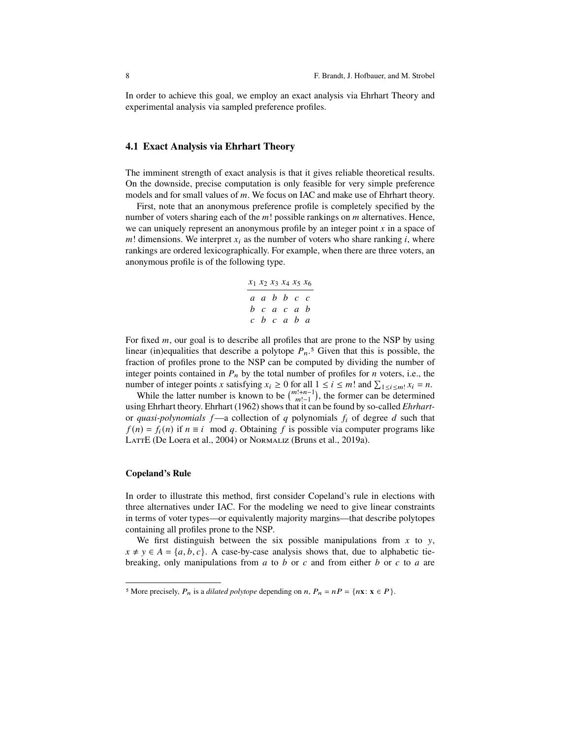In order to achieve this goal, we employ an exact analysis via Ehrhart Theory and experimental analysis via sampled preference profiles.

#### **4.1 Exact Analysis via Ehrhart Theory**

The imminent strength of exact analysis is that it gives reliable theoretical results. On the downside, precise computation is only feasible for very simple preference models and for small values of  $m$ . We focus on IAC and make use of Ehrhart theory.

First, note that an anonymous preference profile is completely specified by the number of voters sharing each of the  $m!$  possible rankings on  $m$  alternatives. Hence, we can uniquely represent an anonymous profile by an integer point  $x$  in a space of m! dimensions. We interpret  $x_i$  as the number of voters who share ranking i, where rankings are ordered lexicographically. For example, when there are three voters, an anonymous profile is of the following type.

$$
\begin{array}{cccccc}\nx_1 & x_2 & x_3 & x_4 & x_5 & x_6 \\
a & a & b & b & c & c \\
b & c & a & c & a & b \\
c & b & c & a & b & a\n\end{array}
$$

For fixed  $m$ , our goal is to describe all profiles that are prone to the NSP by using linear (in)equalities that describe a polytope  $P_n$ .<sup>5</sup> Given that this is possible, the fraction of profiles prone to the NSP can be computed by dividing the number of integer points contained in  $P_n$  by the total number of profiles for  $n$  voters, i.e., the number of integer points x satisfying  $x_i \ge 0$  for all  $1 \le i \le m!$  and  $\sum_{1 \le i \le m!} x_i = n$ .

While the latter number is known to be  $\binom{m!+n-1}{m!-1}$ , the former can be determined using Ehrhart theory. Ehrhart (1962) shows that it can be found by so-called *Ehrhart*or *quasi-polynomials*  $f$ —a collection of q polynomials  $f_i$  of degree d such that  $f(n) = f_i(n)$  if  $n \equiv i \mod q$ . Obtaining f is possible via computer programs like LATTE (De Loera et al., 2004) or Normaliz (Bruns et al., 2019a).

#### **Copeland's Rule**

In order to illustrate this method, first consider Copeland's rule in elections with three alternatives under IAC. For the modeling we need to give linear constraints in terms of voter types—or equivalently majority margins—that describe polytopes containing all profiles prone to the NSP.

We first distinguish between the six possible manipulations from  $x$  to  $y$ ,  $x \neq y \in A = \{a, b, c\}$ . A case-by-case analysis shows that, due to alphabetic tiebreaking, only manipulations from  $a$  to  $b$  or  $c$  and from either  $b$  or  $c$  to  $a$  are

<sup>&</sup>lt;sup>5</sup> More precisely,  $P_n$  is a *dilated polytope* depending on  $n$ ,  $P_n = nP = \{nx : x \in P\}$ .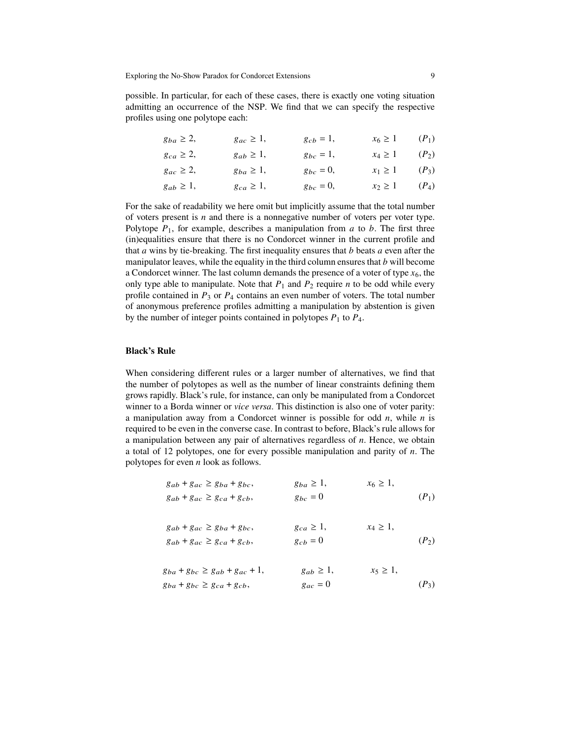possible. In particular, for each of these cases, there is exactly one voting situation admitting an occurrence of the NSP. We find that we can specify the respective profiles using one polytope each:

| $g_{ba} \geq 2$ , | $g_{ac} \geq 1$ , | $g_{cb} = 1,$ | $x_6 \ge 1$ ( <i>P</i> <sub>1</sub> ) |  |
|-------------------|-------------------|---------------|---------------------------------------|--|
| $g_{ca} \geq 2$ , | $g_{ab} \geq 1$ , | $g_{bc} = 1,$ | $x_4 \ge 1$ $(P_2)$                   |  |
| $g_{ac} \geq 2$ , | $g_{ba} \geq 1$ , | $g_{bc} = 0,$ | $x_1 \ge 1$ $(P_3)$                   |  |

$$
g_{ab} \ge 1
$$
,  $g_{ca} \ge 1$ ,  $g_{bc} = 0$ ,  $x_2 \ge 1$   $(P_4)$ 

For the sake of readability we here omit but implicitly assume that the total number of voters present is  $n$  and there is a nonnegative number of voters per voter type. Polytope  $P_1$ , for example, describes a manipulation from  $a$  to  $b$ . The first three (in)equalities ensure that there is no Condorcet winner in the current profile and that  $a$  wins by tie-breaking. The first inequality ensures that  $b$  beats  $a$  even after the manipulator leaves, while the equality in the third column ensures that  $b$  will become a Condorcet winner. The last column demands the presence of a voter of type  $x_6$ , the only type able to manipulate. Note that  $P_1$  and  $P_2$  require *n* to be odd while every profile contained in  $P_3$  or  $P_4$  contains an even number of voters. The total number of anonymous preference profiles admitting a manipulation by abstention is given by the number of integer points contained in polytopes  $P_1$  to  $P_4$ .

#### **Black's Rule**

When considering different rules or a larger number of alternatives, we find that the number of polytopes as well as the number of linear constraints defining them grows rapidly. Black's rule, for instance, can only be manipulated from a Condorcet winner to a Borda winner or *vice versa*. This distinction is also one of voter parity: a manipulation away from a Condorcet winner is possible for odd  $n$ , while  $n$  is required to be even in the converse case. In contrast to before, Black's rule allows for a manipulation between any pair of alternatives regardless of  $n$ . Hence, we obtain a total of 12 polytopes, one for every possible manipulation and parity of  $n$ . The polytopes for even  $n$  look as follows.

$$
g_{ab} + g_{ac} \ge g_{ba} + g_{bc}, \qquad g_{ba} \ge 1, \qquad x_6 \ge 1, g_{ab} + g_{ac} \ge g_{ca} + g_{cb}, \qquad g_{bc} = 0 \qquad (P_1)
$$

$$
g_{ab} + g_{ac} \ge g_{ba} + g_{bc}, \qquad g_{ca} \ge 1, \qquad x_4 \ge 1, g_{ab} + g_{ac} \ge g_{ca} + g_{cb}, \qquad g_{cb} = 0 \qquad (P_2)
$$

$$
g_{ba} + g_{bc} \ge g_{ab} + g_{ac} + 1,
$$
  
\n
$$
g_{ab} \ge 1,
$$
  
\n
$$
g_{ab} \ge 1,
$$
  
\n
$$
x_5 \ge 1,
$$
  
\n
$$
x_6 \ge 1,
$$
  
\n
$$
x_7 \ge 1,
$$
  
\n
$$
(P_3)
$$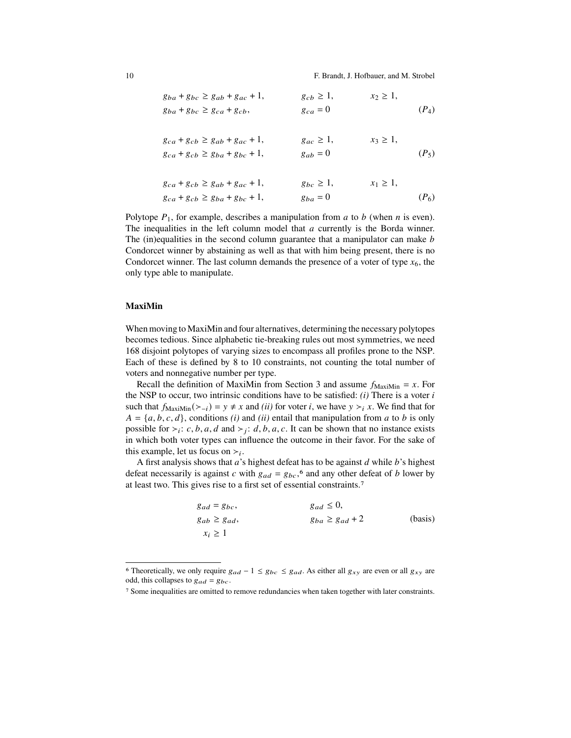10 F. Brandt, J. Hofbauer, and M. Strobel

| $g_{ba} + g_{bc} \ge g_{ab} + g_{ac} + 1$ ,<br>$g_{ba} + g_{bc} \geq g_{ca} + g_{cb}$       | $g_{cb} \geq 1$ ,<br>$g_{ca} = 0$ | $x_2 \geq 1$ , | $(P_4)$ |
|---------------------------------------------------------------------------------------------|-----------------------------------|----------------|---------|
| $g_{ca} + g_{cb} \geq g_{ab} + g_{ac} + 1$ ,<br>$g_{ca} + g_{cb} \ge g_{ba} + g_{bc} + 1$ , | $g_{ac} \geq 1$ ,<br>$g_{ab}=0$   | $x_3 \geq 1$ , | $(P_5)$ |
| $g_{ca} + g_{cb} \geq g_{ab} + g_{ac} + 1$ ,<br>$g_{ca} + g_{cb} \ge g_{ba} + g_{bc} + 1$ , | $g_{bc} \geq 1$ ,<br>$g_{ba} = 0$ | $x_1 \geq 1$ , | $(P_6)$ |

Polytope  $P_1$ , for example, describes a manipulation from  $a$  to  $b$  (when  $n$  is even). The inequalities in the left column model that  $\alpha$  currently is the Borda winner. The (in)equalities in the second column guarantee that a manipulator can make  $b$ Condorcet winner by abstaining as well as that with him being present, there is no Condorcet winner. The last column demands the presence of a voter of type  $x_6$ , the only type able to manipulate.

#### **MaxiMin**

When moving to MaxiMin and four alternatives, determining the necessary polytopes becomes tedious. Since alphabetic tie-breaking rules out most symmetries, we need 168 disjoint polytopes of varying sizes to encompass all profiles prone to the NSP. Each of these is defined by 8 to 10 constraints, not counting the total number of voters and nonnegative number per type.

Recall the definition of MaxiMin from Section 3 and assume  $f_{\text{MaxiMin}} = x$ . For the NSP to occur, two intrinsic conditions have to be satisfied:  $(i)$  There is a voter  $i$ such that  $f_{\text{MaxiMin}}(>_{-i}) = y \neq x$  and *(ii)* for voter *i*, we have  $y >_i x$ . We find that for  $A = \{a, b, c, d\}$ , conditions *(i)* and *(ii)* entail that manipulation from *a* to *b* is only possible for  $\succ_i$ : c, b, a, d and  $\succ_j$ : d, b, a, c. It can be shown that no instance exists in which both voter types can influence the outcome in their favor. For the sake of this example, let us focus on  $\geq_i$ .

A first analysis shows that  $a$ 's highest defeat has to be against  $d$  while  $b$ 's highest defeat necessarily is against c with  $g_{ad} = g_{bc}$ ,<sup>6</sup> and any other defeat of b lower by at least two. This gives rise to a first set of essential constraints.7

$$
g_{ad} = g_{bc}, \t g_{ad} \le 0,
$$
  
\n
$$
g_{ab} \ge g_{ad}, \t g_{ba} \ge g_{ad} + 2 \t (basis)
$$

<sup>&</sup>lt;sup>6</sup> Theoretically, we only require  $g_{ad} - 1 \le g_{bc} \le g_{ad}$ . As either all  $g_{xy}$  are even or all  $g_{xy}$  are odd, this collapses to  $g_{ad} = g_{bc}$ .

<sup>7</sup> Some inequalities are omitted to remove redundancies when taken together with later constraints.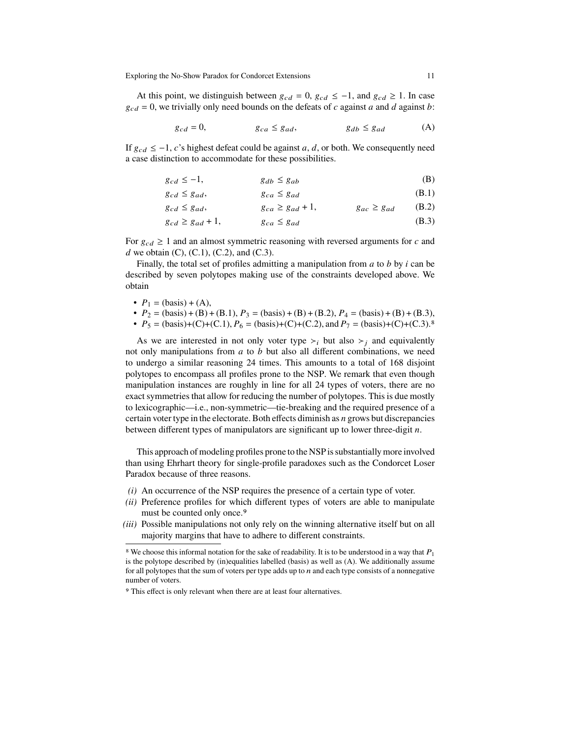At this point, we distinguish between  $g_{cd} = 0$ ,  $g_{cd} \le -1$ , and  $g_{cd} \ge 1$ . In case  $g_{cd} = 0$ , we trivially only need bounds on the defeats of c against a and d against b:

$$
g_{cd} = 0, \t g_{ca} \le g_{ad}, \t g_{db} \le g_{ad} \t (A)
$$

If  $g_{cd} \leq -1$ , c's highest defeat could be against a, d, or both. We consequently need a case distinction to accommodate for these possibilities.

$$
g_{cd} \le -1, \qquad g_{db} \le g_{ab} \tag{B}
$$

$$
g_{cd} \le g_{ad}, \qquad g_{ca} \le g_{ad} \qquad (B.1)
$$

$$
g_{cd} \le g_{ad}
$$
,  $g_{ca} \ge g_{ad} + 1$ ,  $g_{ac} \ge g_{ad}$  (B.2)

$$
g_{cd} \ge g_{ad} + 1, \qquad g_{ca} \le g_{ad} \tag{B.3}
$$

For  $g_{cd} \ge 1$  and an almost symmetric reasoning with reversed arguments for c and d we obtain  $(C)$ ,  $(C.1)$ ,  $(C.2)$ , and  $(C.3)$ .

Finally, the total set of profiles admitting a manipulation from  $a$  to  $b$  by  $i$  can be described by seven polytopes making use of the constraints developed above. We obtain

- $P_1 = (basis) + (A),$
- $P_2 = (basis) + (B) + (B.1), P_3 = (basis) + (B) + (B.2), P_4 = (basis) + (B) + (B.3),$
- $P_5 = (basis)+(C)+(C.1), P_6 = (basis)+(C)+(C.2), and P_7 = (basis)+(C)+(C.3).8$

As we are interested in not only voter type  $\ge_i$  but also  $\ge_i$  and equivalently not only manipulations from  $a$  to  $b$  but also all different combinations, we need to undergo a similar reasoning 24 times. This amounts to a total of 168 disjoint polytopes to encompass all profiles prone to the NSP. We remark that even though manipulation instances are roughly in line for all 24 types of voters, there are no exact symmetries that allow for reducing the number of polytopes. This is due mostly to lexicographic—i.e., non-symmetric—tie-breaking and the required presence of a certain voter type in the electorate. Both effects diminish as  $n$  grows but discrepancies between different types of manipulators are significant up to lower three-digit  $n$ .

This approach of modeling profiles prone to the NSP is substantially more involved than using Ehrhart theory for single-profile paradoxes such as the Condorcet Loser Paradox because of three reasons.

- *(i)* An occurrence of the NSP requires the presence of a certain type of voter.
- *(ii)* Preference profiles for which different types of voters are able to manipulate must be counted only once.9
- *(iii)* Possible manipulations not only rely on the winning alternative itself but on all majority margins that have to adhere to different constraints.

<sup>&</sup>lt;sup>8</sup> We choose this informal notation for the sake of readability. It is to be understood in a way that  $P_1$ is the polytope described by (in)equalities labelled (basis) as well as (A). We additionally assume for all polytopes that the sum of voters per type adds up to  $n$  and each type consists of a nonnegative number of voters.

<sup>9</sup> This effect is only relevant when there are at least four alternatives.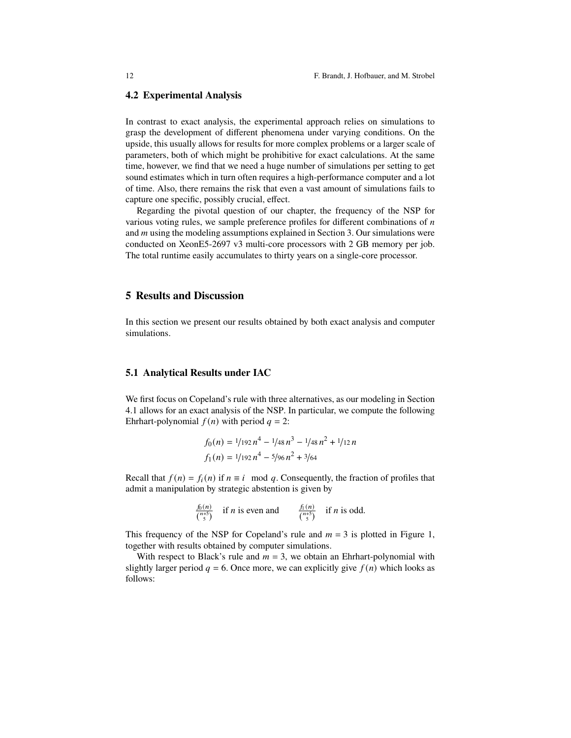#### **4.2 Experimental Analysis**

In contrast to exact analysis, the experimental approach relies on simulations to grasp the development of different phenomena under varying conditions. On the upside, this usually allows for results for more complex problems or a larger scale of parameters, both of which might be prohibitive for exact calculations. At the same time, however, we find that we need a huge number of simulations per setting to get sound estimates which in turn often requires a high-performance computer and a lot of time. Also, there remains the risk that even a vast amount of simulations fails to capture one specific, possibly crucial, effect.

Regarding the pivotal question of our chapter, the frequency of the NSP for various voting rules, we sample preference profiles for different combinations of  $n$ and  *using the modeling assumptions explained in Section 3. Our simulations were* conducted on XeonE5-2697 v3 multi-core processors with 2 GB memory per job. The total runtime easily accumulates to thirty years on a single-core processor.

## **5 Results and Discussion**

In this section we present our results obtained by both exact analysis and computer simulations.

## **5.1 Analytical Results under IAC**

We first focus on Copeland's rule with three alternatives, as our modeling in Section 4.1 allows for an exact analysis of the NSP. In particular, we compute the following Ehrhart-polynomial  $f(n)$  with period  $q = 2$ :

$$
f_0(n) = 1/192 n^4 - 1/48 n^3 - 1/48 n^2 + 1/12 n
$$
  

$$
f_1(n) = 1/192 n^4 - 5/96 n^2 + 3/64
$$

Recall that  $f(n) = f_i(n)$  if  $n \equiv i \mod q$ . Consequently, the fraction of profiles that admit a manipulation by strategic abstention is given by

$$
\frac{f_0(n)}{\binom{n+5}{5}} \quad \text{if } n \text{ is even and} \qquad \frac{f_1(n)}{\binom{n+5}{5}} \quad \text{if } n \text{ is odd.}
$$

This frequency of the NSP for Copeland's rule and  $m = 3$  is plotted in Figure 1, together with results obtained by computer simulations.

With respect to Black's rule and  $m = 3$ , we obtain an Ehrhart-polynomial with slightly larger period  $q = 6$ . Once more, we can explicitly give  $f(n)$  which looks as follows: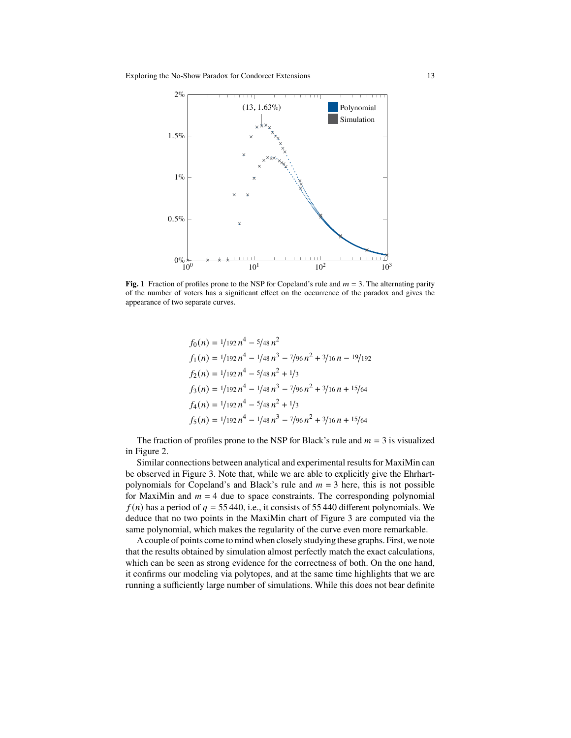

**Fig. 1** Fraction of profiles prone to the NSP for Copeland's rule and  $m = 3$ . The alternating parity of the number of voters has a significant effect on the occurrence of the paradox and gives the appearance of two separate curves.

$$
f_0(n) = 1/192 n^4 - 5/48 n^2
$$
  
\n
$$
f_1(n) = 1/192 n^4 - 1/48 n^3 - 7/96 n^2 + 3/16 n - 19/192
$$
  
\n
$$
f_2(n) = 1/192 n^4 - 5/48 n^2 + 1/3
$$
  
\n
$$
f_3(n) = 1/192 n^4 - 1/48 n^3 - 7/96 n^2 + 3/16 n + 15/64
$$
  
\n
$$
f_4(n) = 1/192 n^4 - 5/48 n^2 + 1/3
$$
  
\n
$$
f_5(n) = 1/192 n^4 - 1/48 n^3 - 7/96 n^2 + 3/16 n + 15/64
$$

The fraction of profiles prone to the NSP for Black's rule and  $m = 3$  is visualized in Figure 2.

Similar connections between analytical and experimental results for MaxiMin can be observed in Figure 3. Note that, while we are able to explicitly give the Ehrhartpolynomials for Copeland's and Black's rule and  $m = 3$  here, this is not possible for MaxiMin and  $m = 4$  due to space constraints. The corresponding polynomial  $f(n)$  has a period of  $q = 55 440$ , i.e., it consists of 55 440 different polynomials. We deduce that no two points in the MaxiMin chart of Figure 3 are computed via the same polynomial, which makes the regularity of the curve even more remarkable.

A couple of points come to mind when closely studying these graphs. First, we note that the results obtained by simulation almost perfectly match the exact calculations, which can be seen as strong evidence for the correctness of both. On the one hand, it confirms our modeling via polytopes, and at the same time highlights that we are running a sufficiently large number of simulations. While this does not bear definite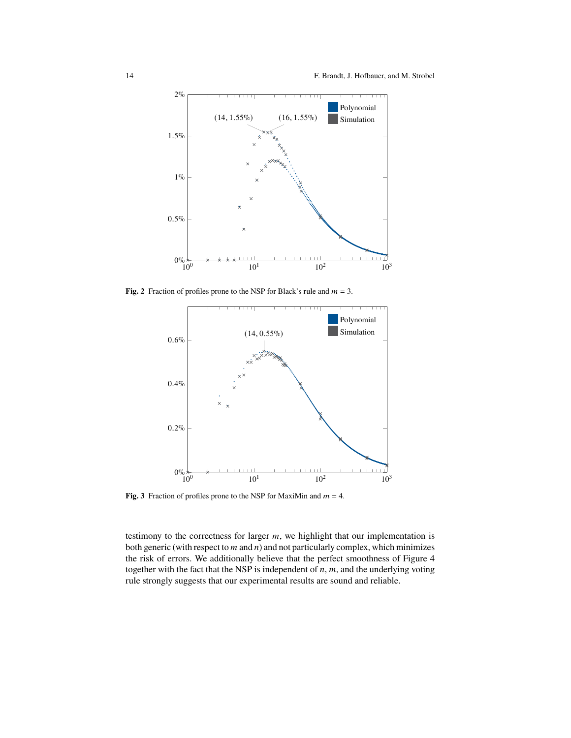

**Fig. 2** Fraction of profiles prone to the NSP for Black's rule and  $m = 3$ .



**Fig. 3** Fraction of profiles prone to the NSP for MaxiMin and  $m = 4$ .

testimony to the correctness for larger  $m$ , we highlight that our implementation is both generic (with respect to  $m$  and  $n$ ) and not particularly complex, which minimizes the risk of errors. We additionally believe that the perfect smoothness of Figure 4 together with the fact that the NSP is independent of  $n$ ,  $m$ , and the underlying voting rule strongly suggests that our experimental results are sound and reliable.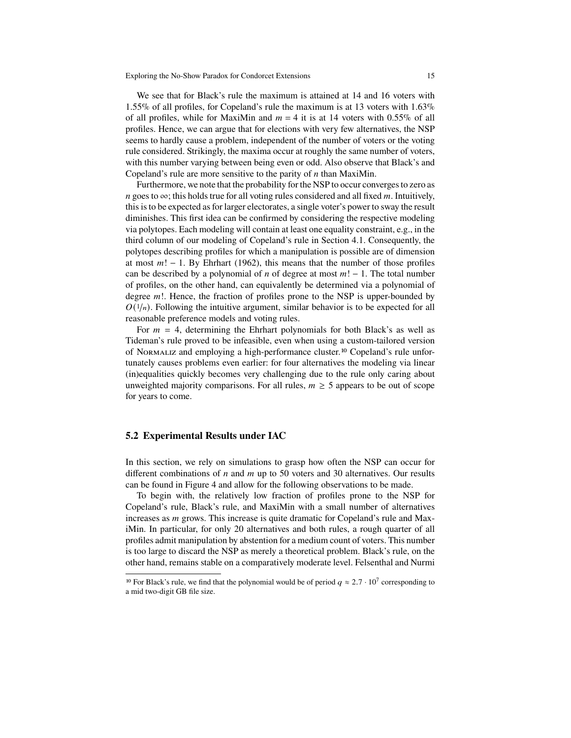Exploring the No-Show Paradox for Condorcet Extensions 15

We see that for Black's rule the maximum is attained at 14 and 16 voters with 1.55% of all profiles, for Copeland's rule the maximum is at 13 voters with 1.63% of all profiles, while for MaxiMin and  $m = 4$  it is at 14 voters with 0.55% of all profiles. Hence, we can argue that for elections with very few alternatives, the NSP seems to hardly cause a problem, independent of the number of voters or the voting rule considered. Strikingly, the maxima occur at roughly the same number of voters, with this number varying between being even or odd. Also observe that Black's and Copeland's rule are more sensitive to the parity of  $n$  than MaxiMin.

Furthermore, we note that the probability for the NSP to occur converges to zero as *n* goes to  $\infty$ ; this holds true for all voting rules considered and all fixed *m*. Intuitively, this is to be expected as for larger electorates, a single voter's power to sway the result diminishes. This first idea can be confirmed by considering the respective modeling via polytopes. Each modeling will contain at least one equality constraint, e.g., in the third column of our modeling of Copeland's rule in Section 4.1. Consequently, the polytopes describing profiles for which a manipulation is possible are of dimension at most  $m! - 1$ . By Ehrhart (1962), this means that the number of those profiles can be described by a polynomial of *n* of degree at most  $m! - 1$ . The total number of profiles, on the other hand, can equivalently be determined via a polynomial of degree  $m!$ . Hence, the fraction of profiles prone to the NSP is upper-bounded by  $O(1/n)$ . Following the intuitive argument, similar behavior is to be expected for all reasonable preference models and voting rules.

For  $m = 4$ , determining the Ehrhart polynomials for both Black's as well as Tideman's rule proved to be infeasible, even when using a custom-tailored version of Normaliz and employing a high-performance cluster.10 Copeland's rule unfortunately causes problems even earlier: for four alternatives the modeling via linear (in)equalities quickly becomes very challenging due to the rule only caring about unweighted majority comparisons. For all rules,  $m \geq 5$  appears to be out of scope for years to come.

## **5.2 Experimental Results under IAC**

In this section, we rely on simulations to grasp how often the NSP can occur for different combinations of  $n$  and  $m$  up to 50 voters and 30 alternatives. Our results can be found in Figure 4 and allow for the following observations to be made.

To begin with, the relatively low fraction of profiles prone to the NSP for Copeland's rule, Black's rule, and MaxiMin with a small number of alternatives increases as  $m$  grows. This increase is quite dramatic for Copeland's rule and MaxiMin. In particular, for only 20 alternatives and both rules, a rough quarter of all profiles admit manipulation by abstention for a medium count of voters. This number is too large to discard the NSP as merely a theoretical problem. Black's rule, on the other hand, remains stable on a comparatively moderate level. Felsenthal and Nurmi

<sup>&</sup>lt;sup>10</sup> For Black's rule, we find that the polynomial would be of period  $q \approx 2.7 \cdot 10^7$  corresponding to a mid two-digit GB file size.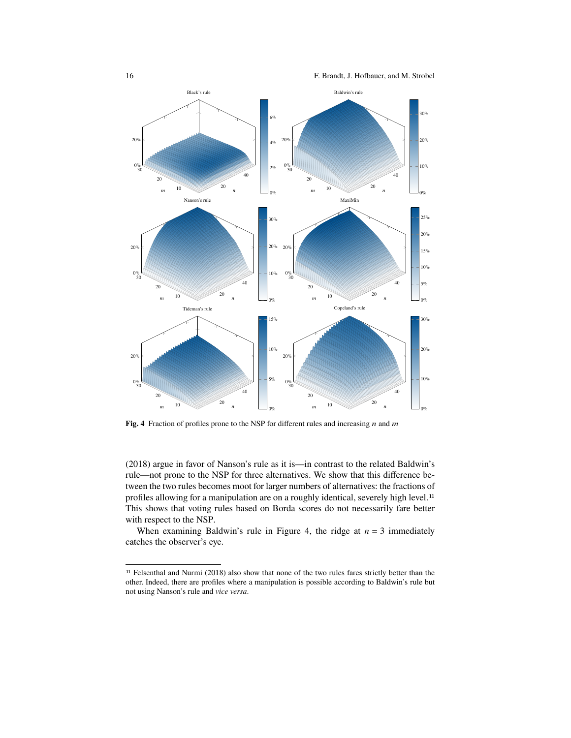16 F. Brandt, J. Hofbauer, and M. Strobel



Fig. 4 Fraction of profiles prone to the NSP for different rules and increasing  $n$  and  $m$ 

(2018) argue in favor of Nanson's rule as it is—in contrast to the related Baldwin's rule—not prone to the NSP for three alternatives. We show that this difference between the two rules becomes moot for larger numbers of alternatives: the fractions of profiles allowing for a manipulation are on a roughly identical, severely high level.<sup>11</sup> This shows that voting rules based on Borda scores do not necessarily fare better with respect to the NSP.

When examining Baldwin's rule in Figure 4, the ridge at  $n = 3$  immediately catches the observer's eye.

<sup>11</sup> Felsenthal and Nurmi (2018) also show that none of the two rules fares strictly better than the other. Indeed, there are profiles where a manipulation is possible according to Baldwin's rule but not using Nanson's rule and *vice versa*.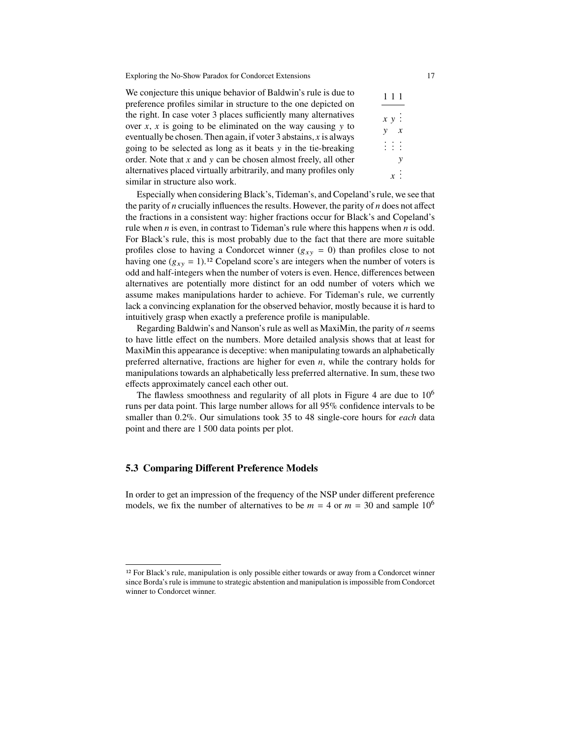| We conjecture this unique behavior of Baldwin's rule is due to       | 111                                       |
|----------------------------------------------------------------------|-------------------------------------------|
| preference profiles similar in structure to the one depicted on      |                                           |
| the right. In case voter 3 places sufficiently many alternatives     | $xy$ :                                    |
| over x, x is going to be eliminated on the way causing $y$ to        | $\boldsymbol{\mathcal{X}}$                |
| eventually be chosen. Then again, if voter 3 abstains, $x$ is always |                                           |
| going to be selected as long as it beats y in the tie-breaking       | $\frac{1}{2}$ $\frac{1}{2}$ $\frac{1}{2}$ |
| order. Note that $x$ and $y$ can be chosen almost freely, all other  | у                                         |
| alternatives placed virtually arbitrarily, and many profiles only    | $x$ :                                     |
| similar in structure also work.                                      |                                           |

Especially when considering Black's, Tideman's, and Copeland's rule, we see that the parity of *n* crucially influences the results. However, the parity of *n* does not affect the fractions in a consistent way: higher fractions occur for Black's and Copeland's rule when  $n$  is even, in contrast to Tideman's rule where this happens when  $n$  is odd. For Black's rule, this is most probably due to the fact that there are more suitable profiles close to having a Condorcet winner  $(g_{xy} = 0)$  than profiles close to not having one  $(g_{xy} = 1)$ .<sup>12</sup> Copeland score's are integers when the number of voters is odd and half-integers when the number of voters is even. Hence, differences between alternatives are potentially more distinct for an odd number of voters which we assume makes manipulations harder to achieve. For Tideman's rule, we currently lack a convincing explanation for the observed behavior, mostly because it is hard to intuitively grasp when exactly a preference profile is manipulable.

Regarding Baldwin's and Nanson's rule as well as MaxiMin, the parity of  $n$  seems to have little effect on the numbers. More detailed analysis shows that at least for MaxiMin this appearance is deceptive: when manipulating towards an alphabetically preferred alternative, fractions are higher for even  $n$ , while the contrary holds for manipulations towards an alphabetically less preferred alternative. In sum, these two effects approximately cancel each other out.

The flawless smoothness and regularity of all plots in Figure 4 are due to  $10<sup>6</sup>$ runs per data point. This large number allows for all 95% confidence intervals to be smaller than 0.2%. Our simulations took 35 to 48 single-core hours for *each* data point and there are 1 500 data points per plot.

# **5.3 Comparing Different Preference Models**

In order to get an impression of the frequency of the NSP under different preference models, we fix the number of alternatives to be  $m = 4$  or  $m = 30$  and sample 10<sup>6</sup>

<sup>&</sup>lt;sup>12</sup> For Black's rule, manipulation is only possible either towards or away from a Condorcet winner since Borda's rule is immune to strategic abstention and manipulation is impossible from Condorcet winner to Condorcet winner.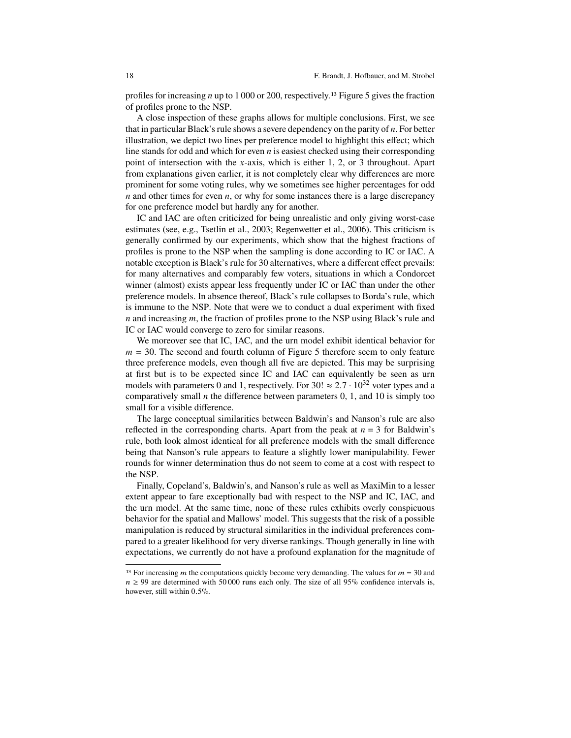profiles for increasing  $n \text{ up to } 1000$  or 200, respectively.<sup>13</sup> Figure 5 gives the fraction of profiles prone to the NSP.

A close inspection of these graphs allows for multiple conclusions. First, we see that in particular Black's rule shows a severe dependency on the parity of  $n$ . For better illustration, we depict two lines per preference model to highlight this effect; which line stands for odd and which for even  $n$  is easiest checked using their corresponding point of intersection with the x-axis, which is either 1, 2, or 3 throughout. Apart from explanations given earlier, it is not completely clear why differences are more prominent for some voting rules, why we sometimes see higher percentages for odd  $n$  and other times for even  $n$ , or why for some instances there is a large discrepancy for one preference model but hardly any for another.

IC and IAC are often criticized for being unrealistic and only giving worst-case estimates (see, e.g., Tsetlin et al., 2003; Regenwetter et al., 2006). This criticism is generally confirmed by our experiments, which show that the highest fractions of profiles is prone to the NSP when the sampling is done according to IC or IAC. A notable exception is Black's rule for 30 alternatives, where a different effect prevails: for many alternatives and comparably few voters, situations in which a Condorcet winner (almost) exists appear less frequently under IC or IAC than under the other preference models. In absence thereof, Black's rule collapses to Borda's rule, which is immune to the NSP. Note that were we to conduct a dual experiment with fixed  $n$  and increasing  $m$ , the fraction of profiles prone to the NSP using Black's rule and IC or IAC would converge to zero for similar reasons.

We moreover see that IC, IAC, and the urn model exhibit identical behavior for  $m = 30$ . The second and fourth column of Figure 5 therefore seem to only feature three preference models, even though all five are depicted. This may be surprising at first but is to be expected since IC and IAC can equivalently be seen as urn models with parameters 0 and 1, respectively. For 30!  $\approx 2.7 \cdot 10^{32}$  voter types and a comparatively small  $n$  the difference between parameters  $0, 1$ , and  $10$  is simply too small for a visible difference.

The large conceptual similarities between Baldwin's and Nanson's rule are also reflected in the corresponding charts. Apart from the peak at  $n = 3$  for Baldwin's rule, both look almost identical for all preference models with the small difference being that Nanson's rule appears to feature a slightly lower manipulability. Fewer rounds for winner determination thus do not seem to come at a cost with respect to the NSP.

Finally, Copeland's, Baldwin's, and Nanson's rule as well as MaxiMin to a lesser extent appear to fare exceptionally bad with respect to the NSP and IC, IAC, and the urn model. At the same time, none of these rules exhibits overly conspicuous behavior for the spatial and Mallows' model. This suggests that the risk of a possible manipulation is reduced by structural similarities in the individual preferences compared to a greater likelihood for very diverse rankings. Though generally in line with expectations, we currently do not have a profound explanation for the magnitude of

<sup>&</sup>lt;sup>13</sup> For increasing *m* the computations quickly become very demanding. The values for  $m = 30$  and  $n \ge 99$  are determined with 50 000 runs each only. The size of all 95% confidence intervals is, however, still within 0.5%.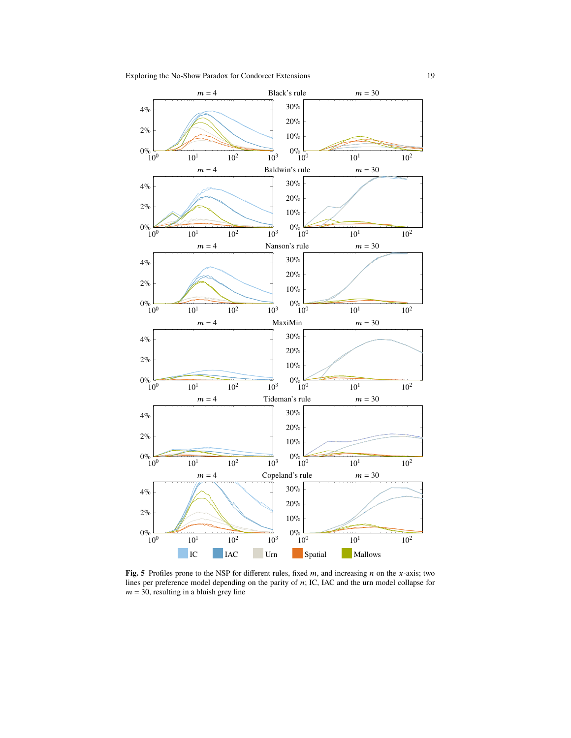Exploring the No-Show Paradox for Condorcet Extensions 19



Fig. 5 Profiles prone to the NSP for different rules, fixed  $m$ , and increasing  $n$  on the  $x$ -axis; two lines per preference model depending on the parity of  $n$ ; IC, IAC and the urn model collapse for  $m = 30$ , resulting in a bluish grey line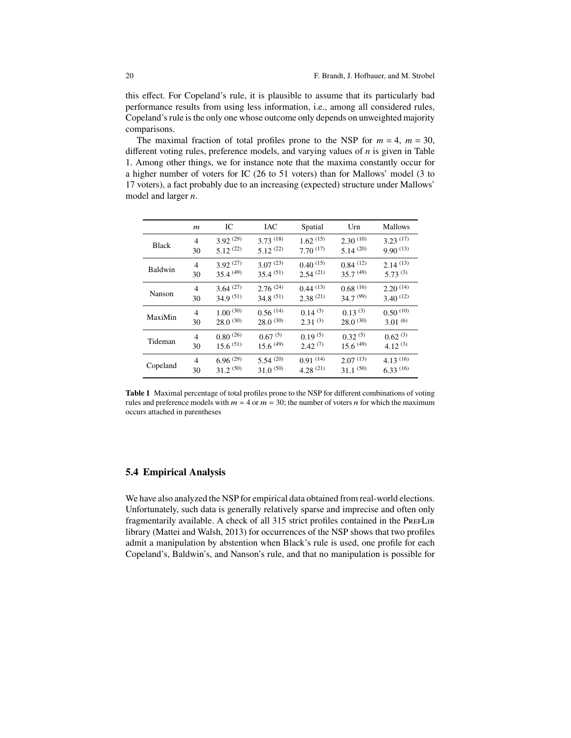this effect. For Copeland's rule, it is plausible to assume that its particularly bad performance results from using less information, i.e., among all considered rules, Copeland's rule is the only one whose outcome only depends on unweighted majority comparisons.

The maximal fraction of total profiles prone to the NSP for  $m = 4$ ,  $m = 30$ , different voting rules, preference models, and varying values of  $n$  is given in Table 1. Among other things, we for instance note that the maxima constantly occur for a higher number of voters for IC (26 to 51 voters) than for Mallows' model (3 to 17 voters), a fact probably due to an increasing (expected) structure under Mallows' model and larger  $n$ .

|              | m  | IС            | <b>IAC</b>          | Spatial       | Urn           | Mallows       |
|--------------|----|---------------|---------------------|---------------|---------------|---------------|
| <b>Black</b> | 4  | $3.92^{(29)}$ | 3.73(18)            | 1.62(15)      | 2.30(10)      | $3.23^{(17)}$ |
|              | 30 | 5.12(22)      | 5.12(22)            | 7.70(17)      | 5.14(20)      | $9.90^{(13)}$ |
| Baldwin      | 4  | 3.92(27)      | 3.07(23)            | 0.40(15)      | 0.84(12)      | 2.14(13)      |
|              | 30 | $35.4^{(49)}$ | $35.4^{(51)}$       | 2.54(21)      | $35.7^{(49)}$ | $5.73^{(3)}$  |
| Nanson       | 4  | 3.64(27)      | 2.76(24)            | 0.44(13)      | 0.68(16)      | 2.20(14)      |
|              | 30 | $34.9^{(51)}$ | $34.8^{(51)}$       | 2.38(21)      | $34.7^{(99)}$ | 3.40(12)      |
| MaxiMin      | 4  | $1.00^{(30)}$ | 0.56(14)            | 0.14(3)       | $0.13^{(3)}$  | 0.50(10)      |
|              | 30 | $28.0^{(30)}$ | $28.0^{(30)}$       | $2.31^{(3)}$  | $28.0^{(30)}$ | 3.01(6)       |
| Tideman      | 4  | 0.80(26)      | 0.67 <sup>(5)</sup> | 0.19(5)       | 0.32(5)       | 0.62(3)       |
|              | 30 | $15.6^{(51)}$ | $15.6^{(49)}$       | 2.42(7)       | $15.6^{(49)}$ | 4.12 $(3)$    |
| Copeland     | 4  | $6.96^{(29)}$ | 5.54(20)            | 0.91(14)      | 2.07(13)      | $4.13^{(16)}$ |
|              | 30 | $31.2^{(50)}$ | $31.0^{(50)}$       | $4.28^{(21)}$ | $31.1^{(50)}$ | $6.33^{(16)}$ |

**Table 1** Maximal percentage of total profiles prone to the NSP for different combinations of voting rules and preference models with  $m = 4$  or  $m = 30$ ; the number of voters *n* for which the maximum occurs attached in parentheses

# **5.4 Empirical Analysis**

We have also analyzed the NSP for empirical data obtained from real-world elections. Unfortunately, such data is generally relatively sparse and imprecise and often only fragmentarily available. A check of all 315 strict profiles contained in the PREFLIB library (Mattei and Walsh, 2013) for occurrences of the NSP shows that two profiles admit a manipulation by abstention when Black's rule is used, one profile for each Copeland's, Baldwin's, and Nanson's rule, and that no manipulation is possible for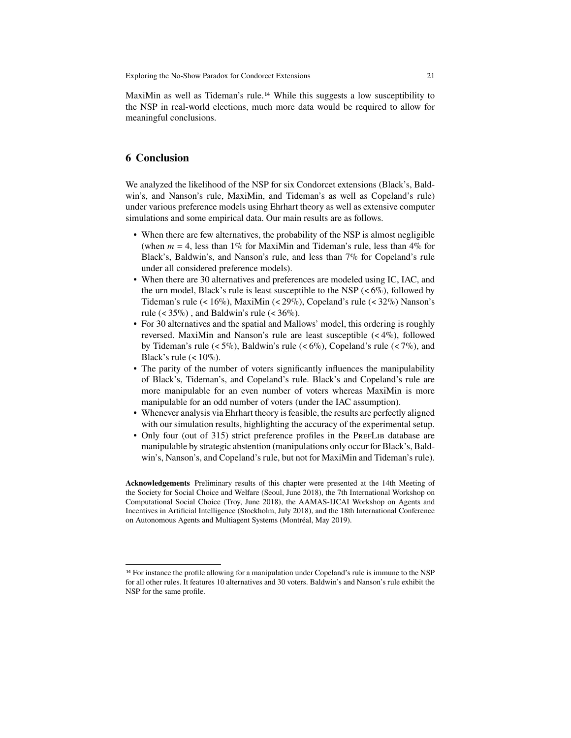MaxiMin as well as Tideman's rule.<sup>14</sup> While this suggests a low susceptibility to the NSP in real-world elections, much more data would be required to allow for meaningful conclusions.

# **6 Conclusion**

We analyzed the likelihood of the NSP for six Condorcet extensions (Black's, Baldwin's, and Nanson's rule, MaxiMin, and Tideman's as well as Copeland's rule) under various preference models using Ehrhart theory as well as extensive computer simulations and some empirical data. Our main results are as follows.

- When there are few alternatives, the probability of the NSP is almost negligible (when  $m = 4$ , less than 1% for MaxiMin and Tideman's rule, less than 4% for Black's, Baldwin's, and Nanson's rule, and less than 7% for Copeland's rule under all considered preference models).
- When there are 30 alternatives and preferences are modeled using IC, IAC, and the urn model, Black's rule is least susceptible to the NSP  $(< 6\%)$ , followed by Tideman's rule (< 16%), MaxiMin (< 29%), Copeland's rule (< 32%) Nanson's rule  $(< 35\%)$ , and Baldwin's rule  $(< 36\%)$ .
- For 30 alternatives and the spatial and Mallows' model, this ordering is roughly reversed. MaxiMin and Nanson's rule are least susceptible (< 4%), followed by Tideman's rule ( $\lt 5\%$ ), Baldwin's rule ( $\lt 6\%$ ), Copeland's rule ( $\lt 7\%$ ), and Black's rule  $(< 10\%$ ).
- The parity of the number of voters significantly influences the manipulability of Black's, Tideman's, and Copeland's rule. Black's and Copeland's rule are more manipulable for an even number of voters whereas MaxiMin is more manipulable for an odd number of voters (under the IAC assumption).
- Whenever analysis via Ehrhart theory is feasible, the results are perfectly aligned with our simulation results, highlighting the accuracy of the experimental setup.
- Only four (out of 315) strict preference profiles in the PREFLIB database are manipulable by strategic abstention (manipulations only occur for Black's, Baldwin's, Nanson's, and Copeland's rule, but not for MaxiMin and Tideman's rule).

**Acknowledgements** Preliminary results of this chapter were presented at the 14th Meeting of the Society for Social Choice and Welfare (Seoul, June 2018), the 7th International Workshop on Computational Social Choice (Troy, June 2018), the AAMAS-IJCAI Workshop on Agents and Incentives in Artificial Intelligence (Stockholm, July 2018), and the 18th International Conference on Autonomous Agents and Multiagent Systems (Montréal, May 2019).

<sup>14</sup> For instance the profile allowing for a manipulation under Copeland's rule is immune to the NSP for all other rules. It features 10 alternatives and 30 voters. Baldwin's and Nanson's rule exhibit the NSP for the same profile.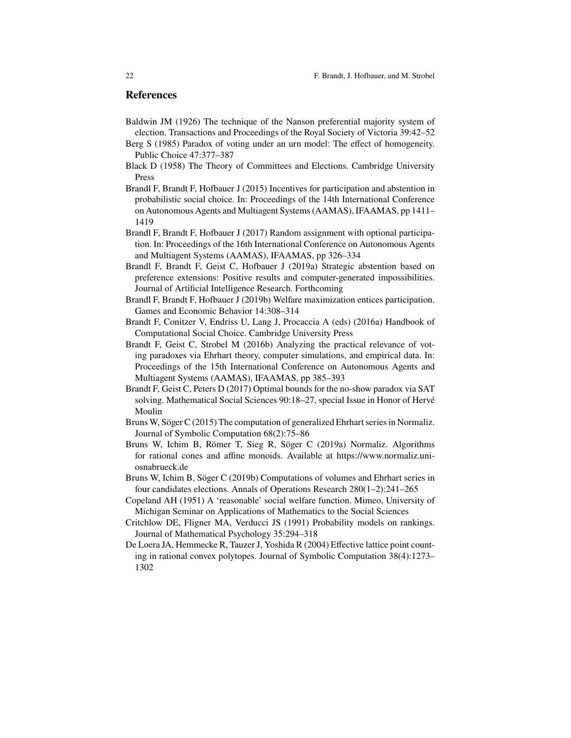## **References**

- Baldwin JM (1926) The technique of the Nanson preferential majority system of election. Transactions and Proceedings of the Royal Society of Victoria 39:42–52
- Berg S (1985) Paradox of voting under an urn model: The effect of homogeneity. Public Choice 47:377–387
- Black D (1958) The Theory of Committees and Elections. Cambridge University Press
- Brandl F, Brandt F, Hofbauer J (2015) Incentives for participation and abstention in probabilistic social choice. In: Proceedings of the 14th International Conference on Autonomous Agents and Multiagent Systems (AAMAS), IFAAMAS, pp 1411– 1419
- Brandl F, Brandt F, Hofbauer J (2017) Random assignment with optional participation. In: Proceedings of the 16th International Conference on Autonomous Agents and Multiagent Systems (AAMAS), IFAAMAS, pp 326–334
- Brandl F, Brandt F, Geist C, Hofbauer J (2019a) Strategic abstention based on preference extensions: Positive results and computer-generated impossibilities. Journal of Artificial Intelligence Research. Forthcoming
- Brandl F, Brandt F, Hofbauer J (2019b) Welfare maximization entices participation. Games and Economic Behavior 14:308–314
- Brandt F, Conitzer V, Endriss U, Lang J, Procaccia A (eds) (2016a) Handbook of Computational Social Choice. Cambridge University Press
- Brandt F, Geist C, Strobel M (2016b) Analyzing the practical relevance of voting paradoxes via Ehrhart theory, computer simulations, and empirical data. In: Proceedings of the 15th International Conference on Autonomous Agents and Multiagent Systems (AAMAS), IFAAMAS, pp 385–393
- Brandt F, Geist C, Peters D (2017) Optimal bounds for the no-show paradox via SAT solving. Mathematical Social Sciences 90:18–27, special Issue in Honor of Hervé Moulin
- Bruns W, Söger C (2015) The computation of generalized Ehrhart series in Normaliz. Journal of Symbolic Computation 68(2):75–86
- Bruns W, Ichim B, Römer T, Sieg R, Söger C (2019a) Normaliz. Algorithms for rational cones and affine monoids. Available at https://www.normaliz.uniosnabrueck.de
- Bruns W, Ichim B, Söger C (2019b) Computations of volumes and Ehrhart series in four candidates elections. Annals of Operations Research 280(1–2):241–265
- Copeland AH (1951) A 'reasonable' social welfare function. Mimeo, University of Michigan Seminar on Applications of Mathematics to the Social Sciences
- Critchlow DE, Fligner MA, Verducci JS (1991) Probability models on rankings. Journal of Mathematical Psychology 35:294–318
- De Loera JA, Hemmecke R, Tauzer J, Yoshida R (2004) Effective lattice point counting in rational convex polytopes. Journal of Symbolic Computation 38(4):1273– 1302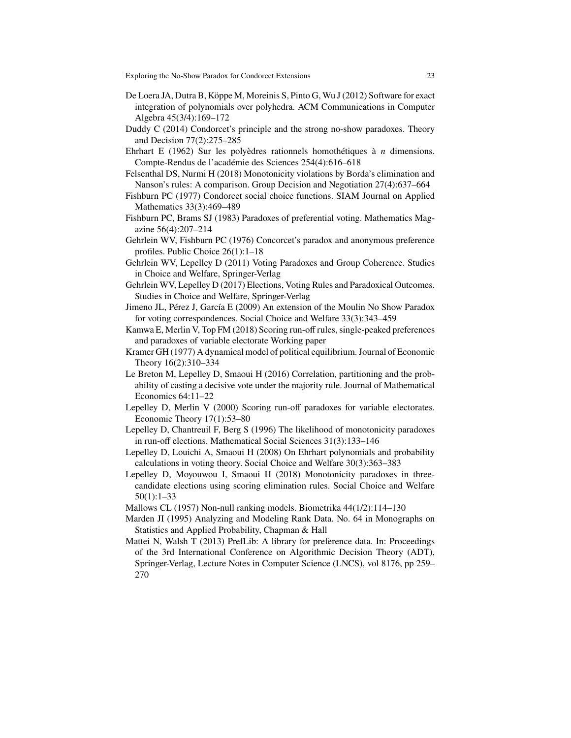Exploring the No-Show Paradox for Condorcet Extensions 23

- De Loera JA, Dutra B, Köppe M, Moreinis S, Pinto G, Wu J (2012) Software for exact integration of polynomials over polyhedra. ACM Communications in Computer Algebra 45(3/4):169–172
- Duddy C (2014) Condorcet's principle and the strong no-show paradoxes. Theory and Decision 77(2):275–285
- Ehrhart E (1962) Sur les polyèdres rationnels homothétiques à  $n$  dimensions. Compte-Rendus de l'académie des Sciences 254(4):616–618
- Felsenthal DS, Nurmi H (2018) Monotonicity violations by Borda's elimination and Nanson's rules: A comparison. Group Decision and Negotiation 27(4):637–664
- Fishburn PC (1977) Condorcet social choice functions. SIAM Journal on Applied Mathematics 33(3):469–489
- Fishburn PC, Brams SJ (1983) Paradoxes of preferential voting. Mathematics Magazine 56(4):207–214
- Gehrlein WV, Fishburn PC (1976) Concorcet's paradox and anonymous preference profiles. Public Choice 26(1):1–18
- Gehrlein WV, Lepelley D (2011) Voting Paradoxes and Group Coherence. Studies in Choice and Welfare, Springer-Verlag
- Gehrlein WV, Lepelley D (2017) Elections, Voting Rules and Paradoxical Outcomes. Studies in Choice and Welfare, Springer-Verlag
- Jimeno JL, Pérez J, García E (2009) An extension of the Moulin No Show Paradox for voting correspondences. Social Choice and Welfare 33(3):343–459
- Kamwa E, Merlin V, Top FM (2018) Scoring run-off rules, single-peaked preferences and paradoxes of variable electorate Working paper
- Kramer GH (1977) A dynamical model of political equilibrium. Journal of Economic Theory 16(2):310–334
- Le Breton M, Lepelley D, Smaoui H (2016) Correlation, partitioning and the probability of casting a decisive vote under the majority rule. Journal of Mathematical Economics 64:11–22
- Lepelley D, Merlin V (2000) Scoring run-off paradoxes for variable electorates. Economic Theory 17(1):53–80
- Lepelley D, Chantreuil F, Berg S (1996) The likelihood of monotonicity paradoxes in run-off elections. Mathematical Social Sciences 31(3):133–146
- Lepelley D, Louichi A, Smaoui H (2008) On Ehrhart polynomials and probability calculations in voting theory. Social Choice and Welfare 30(3):363–383
- Lepelley D, Moyouwou I, Smaoui H (2018) Monotonicity paradoxes in threecandidate elections using scoring elimination rules. Social Choice and Welfare 50(1):1–33
- Mallows CL (1957) Non-null ranking models. Biometrika 44(1/2):114–130
- Marden JI (1995) Analyzing and Modeling Rank Data. No. 64 in Monographs on Statistics and Applied Probability, Chapman & Hall
- Mattei N, Walsh T (2013) PrefLib: A library for preference data. In: Proceedings of the 3rd International Conference on Algorithmic Decision Theory (ADT), Springer-Verlag, Lecture Notes in Computer Science (LNCS), vol 8176, pp 259– 270